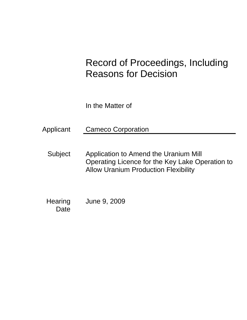# Record of Proceedings, Including Reasons for Decision

In the Matter of

Applicant Cameco Corporation

Subject Application to Amend the Uranium Mill Operating Licence for the Key Lake Operation to Allow Uranium Production Flexibility

**Hearing Date** June 9, 2009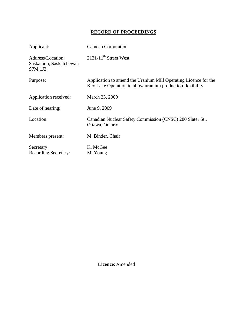## **RECORD OF PROCEEDINGS**

| Applicant:                                              | Cameco Corporation                                                                                                            |
|---------------------------------------------------------|-------------------------------------------------------------------------------------------------------------------------------|
| Address/Location:<br>Saskatoon, Saskatchewan<br>S7M 1J3 | $2121 - 11$ <sup>th</sup> Street West                                                                                         |
| Purpose:                                                | Application to amend the Uranium Mill Operating Licence for the<br>Key Lake Operation to allow uranium production flexibility |
| Application received:                                   | March 23, 2009                                                                                                                |
| Date of hearing:                                        | June 9, 2009                                                                                                                  |
| Location:                                               | Canadian Nuclear Safety Commission (CNSC) 280 Slater St.,<br>Ottawa, Ontario                                                  |
| Members present:                                        | M. Binder, Chair                                                                                                              |
| Secretary:<br><b>Recording Secretary:</b>               | K. McGee<br>M. Young                                                                                                          |

 **Licence:** Amended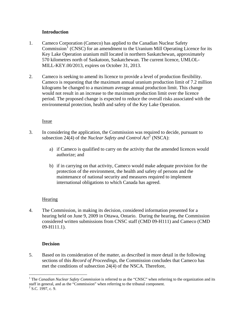### **Introduction**

- <span id="page-3-0"></span>1. Cameco Corporation (Cameco) has applied to the Canadian Nuclear Safety  $Commission<sup>1</sup>$  $Commission<sup>1</sup>$  $Commission<sup>1</sup>$  (CNSC) for an amendment to the Uranium Mill Operating Licence for its Key Lake Operation uranium mill located in northern Saskatchewan, approximately 570 kilometres north of Saskatoon, Saskatchewan. The current licence, UMLOL-MILL-KEY.00/2013, expires on October 31, 2013.
- 2. Cameco is seeking to amend its licence to provide a level of production flexibility. Cameco is requesting that the maximum annual uranium production limit of 7.2 million kilograms be changed to a maximum average annual production limit. This change would not result in an increase to the maximum production limit over the licence period. The proposed change is expected to reduce the overall risks associated with the environmental protection, health and safety of the Key Lake Operation.

### Issue

- 3. In considering the application, the Commission was required to decide, pursuant to subsection [2](#page-3-2)4(4) of the *Nuclear Safety and Control Act*<sup>2</sup> (NSCA):
	- a) if Cameco is qualified to carry on the activity that the amended licences would authorize; and
	- b) if in carrying on that activity, Cameco would make adequate provision for the protection of the environment, the health and safety of persons and the maintenance of national security and measures required to implement international obligations to which Canada has agreed.

## **Hearing**

4. The Commission, in making its decision, considered information presented for a hearing held on June 9, 2009 in Ottawa, Ontario. During the hearing, the Commission considered written submissions from CNSC staff (CMD 09-H111) and Cameco (CMD 09-H111.1).

## **Decision**

5. Based on its consideration of the matter, as described in more detail in the following sections of this *Record of Proceedings*, the Commission concludes that Cameco has met the conditions of subsection 24(4) of the NSCA. Therefore,

 $\overline{a}$ 

<span id="page-3-1"></span><sup>&</sup>lt;sup>1</sup> The *Canadian Nuclear Safety Commission* is referred to as the "CNSC" when referring to the organization and its staff in general, and as the "Commission" when referring to the tribunal component.

<span id="page-3-2"></span> $2^2$  S.C. 1997, c. 9.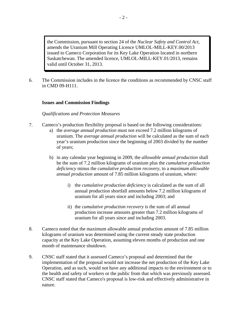<span id="page-4-0"></span>the Commission, pursuant to section 24 of the *Nuclear Safety and Control Act*, amends the Uranium Mill Operating Licence UMLOL-MILL-KEY.00/2013 issued to Cameco Corporation for its Key Lake Operation located in northern Saskatchewan. The amended licence, UMLOL-MILL-KEY.01/2013, remains valid until October 31, 2013.

6. The Commission includes in the licence the conditions as recommended by CNSC staff in CMD 09-H111.

#### **Issues and Commission Findings**

#### *Qualifications and Protection Measures*

- 7. Cameco's production flexibility proposal is based on the following considerations:
	- a) the *average annual production* must not exceed 7.2 million kilograms of uranium. The *average annual production* will be calculated as the sum of each year's uranium production since the beginning of 2003 divided by the number of years;
	- b) in any calendar year beginning in 2009, the *allowable annual production* shall be the sum of 7.2 million kilograms of uranium plus the *cumulative production deficiency* minus the *cumulative production recovery*, to a *maximum allowable annual production* amount of 7.85 million kilograms of uranium, where:
		- i) the *cumulative production deficiency* is calculated as the sum of all annual production shortfall amounts below 7.2 million kilograms of uranium for all years since and including 2003; and
		- ii) the *cumulative production recovery* is the sum of all annual production increase amounts greater than 7.2 million kilograms of uranium for all years since and including 2003.
- 8. Cameco noted that the maximum allowable annual production amount of 7.85 million kilograms of uranium was determined using the current steady state production capacity at the Key Lake Operation, assuming eleven months of production and one month of maintenance shutdown.
- 9. CNSC staff stated that it assessed Cameco's proposal and determined that the implementation of the proposal would not increase the net production of the Key Lake Operation, and as such, would not have any additional impacts to the environment or to the health and safety of workers or the public from that which was previously assessed. CNSC staff stated that Cameco's proposal is low-risk and effectively administrative in nature.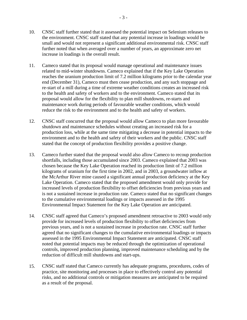- 10. CNSC staff further stated that it assessed the potential impact on Selenium releases to the environment. CNSC staff stated that any potential increase in loadings would be small and would not represent a significant additional environmental risk. CNSC staff further noted that when averaged over a number of years, an approximate zero net increase in loadings is the overall result.
- 11. Cameco stated that its proposal would manage operational and maintenance issues related to mid-winter shutdowns. Cameco explained that if the Key Lake Operation reaches the uranium production limit of 7.2 million kilograms prior to the calendar year end (December 31), Cameco must then cease production, and any such stoppage and re-start of a mill during a time of extreme weather conditions creates an increased risk to the health and safety of workers and to the environment. Cameco stated that its proposal would allow for the flexibility to plan mill shutdowns, re-starts and maintenance work during periods of favourable weather conditions, which would reduce the risk to the environment and to the health and safety of workers.
- 12. CNSC staff concurred that the proposal would allow Cameco to plan more favourable shutdown and maintenance schedules without creating an increased risk for a production loss, while at the same time mitigating a decrease in potential impacts to the environment and to the health and safety of their workers and the public. CNSC staff stated that the concept of production flexibility provides a positive change.
- 13. Cameco further stated that the proposal would also allow Cameco to recoup production shortfalls, including those accumulated since 2003. Cameco explained that 2003 was chosen because the Key Lake Operation reached its production limit of 7.2 million kilograms of uranium for the first time in 2002, and in 2003, a groundwater inflow at the McArthur River mine caused a significant annual production deficiency at the Key Lake Operation. Cameco stated that the proposed amendment would only provide for increased levels of production flexibility to offset deficiencies from previous years and is not a sustained increase in production rate. Cameco stated that no significant changes to the cumulative environmental loadings or impacts assessed in the 1995 Environmental Impact Statement for the Key Lake Operation are anticipated.
- 14. CNSC staff agreed that Cameco's proposed amendment retroactive to 2003 would only provide for increased levels of production flexibility to offset deficiencies from previous years, and is not a sustained increase in production rate. CNSC staff further agreed that no significant changes to the cumulative environmental loadings or impacts assessed in the 1995 Environmental Impact Statement are anticipated. CNSC staff noted that potential impacts may be reduced through the optimization of operational controls, improved production planning, improved maintenance scheduling and by the reduction of difficult mill shutdowns and start-ups.
- 15. CNSC staff stated that Cameco currently has adequate programs, procedures, codes of practice, site monitoring and processes in place to effectively control any potential risks, and no additional controls or mitigation measures are anticipated to be required as a result of the proposal.